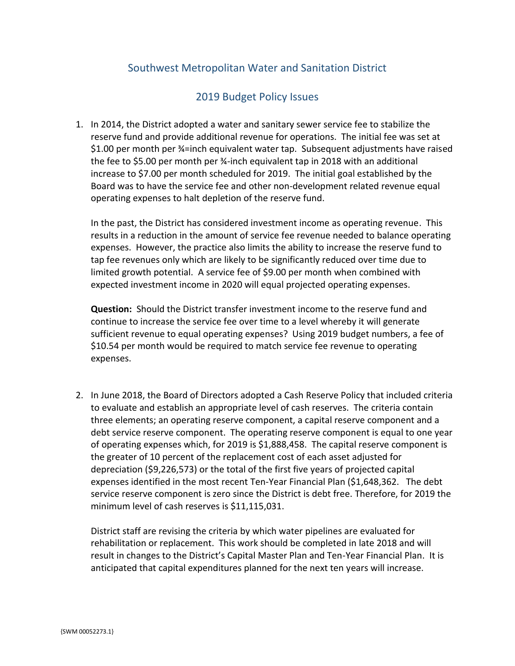## Southwest Metropolitan Water and Sanitation District

## 2019 Budget Policy Issues

1. In 2014, the District adopted a water and sanitary sewer service fee to stabilize the reserve fund and provide additional revenue for operations. The initial fee was set at \$1.00 per month per ¾=inch equivalent water tap. Subsequent adjustments have raised the fee to \$5.00 per month per ¾-inch equivalent tap in 2018 with an additional increase to \$7.00 per month scheduled for 2019. The initial goal established by the Board was to have the service fee and other non-development related revenue equal operating expenses to halt depletion of the reserve fund.

In the past, the District has considered investment income as operating revenue. This results in a reduction in the amount of service fee revenue needed to balance operating expenses. However, the practice also limits the ability to increase the reserve fund to tap fee revenues only which are likely to be significantly reduced over time due to limited growth potential. A service fee of \$9.00 per month when combined with expected investment income in 2020 will equal projected operating expenses.

**Question:** Should the District transfer investment income to the reserve fund and continue to increase the service fee over time to a level whereby it will generate sufficient revenue to equal operating expenses? Using 2019 budget numbers, a fee of \$10.54 per month would be required to match service fee revenue to operating expenses.

2. In June 2018, the Board of Directors adopted a Cash Reserve Policy that included criteria to evaluate and establish an appropriate level of cash reserves. The criteria contain three elements; an operating reserve component, a capital reserve component and a debt service reserve component. The operating reserve component is equal to one year of operating expenses which, for 2019 is \$1,888,458. The capital reserve component is the greater of 10 percent of the replacement cost of each asset adjusted for depreciation (\$9,226,573) or the total of the first five years of projected capital expenses identified in the most recent Ten-Year Financial Plan (\$1,648,362. The debt service reserve component is zero since the District is debt free. Therefore, for 2019 the minimum level of cash reserves is \$11,115,031.

District staff are revising the criteria by which water pipelines are evaluated for rehabilitation or replacement. This work should be completed in late 2018 and will result in changes to the District's Capital Master Plan and Ten-Year Financial Plan. It is anticipated that capital expenditures planned for the next ten years will increase.